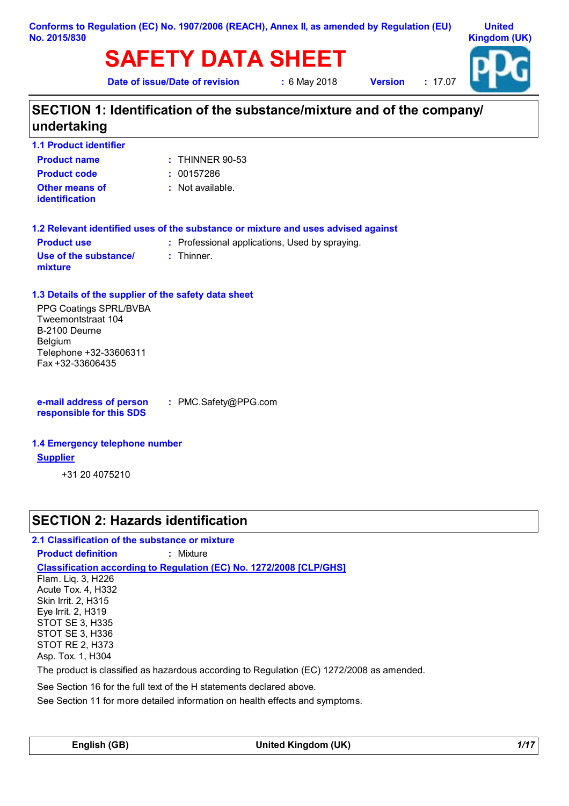# **SAFETY DATA SHEET**

**Date of issue/Date of revision :** 6 May 2018

**Version :** 17.07



## **SECTION 1: Identification of the substance/mixture and of the company/ undertaking**

| <b>1.1 Product identifier</b>    |                   |
|----------------------------------|-------------------|
| <b>Product name</b>              | $:$ THINNER 90-53 |
| <b>Product code</b>              | : 00157286        |
| Other means of<br>identification | : Not available.  |

|                                  | 1.2 Relevant identified uses of the substance or mixture and uses advised against |
|----------------------------------|-----------------------------------------------------------------------------------|
| <b>Product use</b>               | : Professional applications, Used by spraying.                                    |
| Use of the substance/<br>mixture | : Thinner                                                                         |

#### **1.3 Details of the supplier of the safety data sheet**

PPG Coatings SPRL/BVBA Tweemontstraat 104 B-2100 Deurne Belgium Telephone +32-33606311 Fax +32-33606435

**e-mail address of person responsible for this SDS**

**:** PMC.Safety@PPG.com

#### **1.4 Emergency telephone number**

#### **Supplier**

+31 20 4075210

## **SECTION 2: Hazards identification**

#### **2.1 Classification of the substance or mixture**

**Product definition :** Mixture

**Classification according to Regulation (EC) No. 1272/2008 [CLP/GHS]**

Flam. Liq. 3, H226 Acute Tox. 4, H332 Skin Irrit. 2, H315 Eye Irrit. 2, H319 STOT SE 3, H335 STOT SE 3, H336 STOT RE 2, H373 Asp. Tox. 1, H304

The product is classified as hazardous according to Regulation (EC) 1272/2008 as amended.

See Section 16 for the full text of the H statements declared above.

See Section 11 for more detailed information on health effects and symptoms.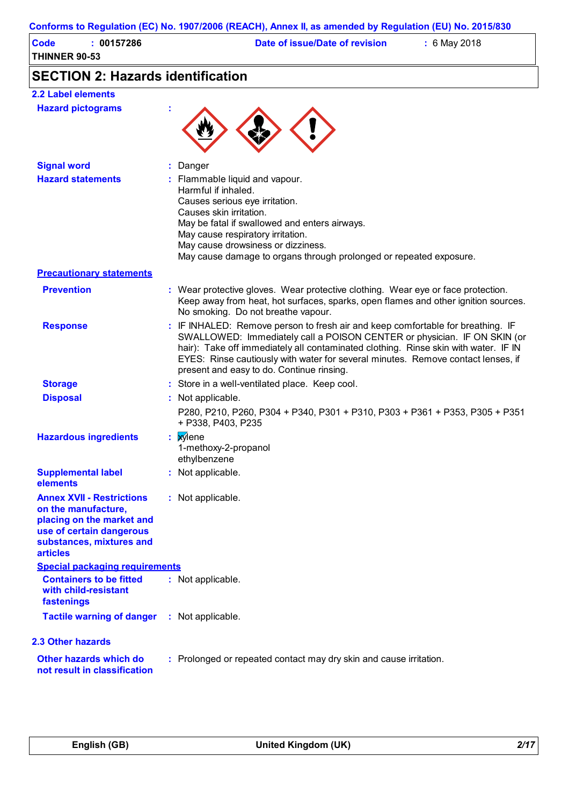|  |  | Conforms to Regulation (EC) No. 1907/2006 (REACH), Annex II, as amended by Regulation (EU) No. 2015/830 |
|--|--|---------------------------------------------------------------------------------------------------------|
|--|--|---------------------------------------------------------------------------------------------------------|

| Code                 | 00157286 | Date of issue/Date of revision | $: 6$ May 2018 |
|----------------------|----------|--------------------------------|----------------|
| <b>THINNER 90-53</b> |          |                                |                |

# **SECTION 2: Hazards identification**

| <b>2.2 Label elements</b>                                                                                                                                       |                                                                                                                                                                                                                                                                                                                                                                                     |
|-----------------------------------------------------------------------------------------------------------------------------------------------------------------|-------------------------------------------------------------------------------------------------------------------------------------------------------------------------------------------------------------------------------------------------------------------------------------------------------------------------------------------------------------------------------------|
| <b>Hazard pictograms</b>                                                                                                                                        |                                                                                                                                                                                                                                                                                                                                                                                     |
| <b>Signal word</b>                                                                                                                                              | Danger                                                                                                                                                                                                                                                                                                                                                                              |
| <b>Hazard statements</b>                                                                                                                                        | : Flammable liquid and vapour.<br>Harmful if inhaled.<br>Causes serious eye irritation.<br>Causes skin irritation.<br>May be fatal if swallowed and enters airways.<br>May cause respiratory irritation.<br>May cause drowsiness or dizziness.<br>May cause damage to organs through prolonged or repeated exposure.                                                                |
| <b>Precautionary statements</b>                                                                                                                                 |                                                                                                                                                                                                                                                                                                                                                                                     |
| <b>Prevention</b>                                                                                                                                               | : Wear protective gloves. Wear protective clothing. Wear eye or face protection.<br>Keep away from heat, hot surfaces, sparks, open flames and other ignition sources.<br>No smoking. Do not breathe vapour.                                                                                                                                                                        |
| <b>Response</b>                                                                                                                                                 | : IF INHALED: Remove person to fresh air and keep comfortable for breathing. IF<br>SWALLOWED: Immediately call a POISON CENTER or physician. IF ON SKIN (or<br>hair): Take off immediately all contaminated clothing. Rinse skin with water. IF IN<br>EYES: Rinse cautiously with water for several minutes. Remove contact lenses, if<br>present and easy to do. Continue rinsing. |
| <b>Storage</b>                                                                                                                                                  | : Store in a well-ventilated place. Keep cool.                                                                                                                                                                                                                                                                                                                                      |
| <b>Disposal</b>                                                                                                                                                 | : Not applicable.                                                                                                                                                                                                                                                                                                                                                                   |
|                                                                                                                                                                 | P280, P210, P260, P304 + P340, P301 + P310, P303 + P361 + P353, P305 + P351<br>+ P338, P403, P235                                                                                                                                                                                                                                                                                   |
| <b>Hazardous ingredients</b>                                                                                                                                    | <b>x</b> ylene<br>1-methoxy-2-propanol<br>ethylbenzene                                                                                                                                                                                                                                                                                                                              |
| <b>Supplemental label</b><br>elements                                                                                                                           | : Not applicable.                                                                                                                                                                                                                                                                                                                                                                   |
| <b>Annex XVII - Restrictions</b><br>on the manufacture,<br>placing on the market and<br>use of certain dangerous<br>substances, mixtures and<br><b>articles</b> | : Not applicable.                                                                                                                                                                                                                                                                                                                                                                   |
| <b>Special packaging requirements</b>                                                                                                                           |                                                                                                                                                                                                                                                                                                                                                                                     |
| <b>Containers to be fitted</b><br>with child-resistant<br>fastenings                                                                                            | : Not applicable.                                                                                                                                                                                                                                                                                                                                                                   |
| <b>Tactile warning of danger</b>                                                                                                                                | : Not applicable.                                                                                                                                                                                                                                                                                                                                                                   |
| <b>2.3 Other hazards</b>                                                                                                                                        |                                                                                                                                                                                                                                                                                                                                                                                     |
| Other hazards which do<br>not result in classification                                                                                                          | : Prolonged or repeated contact may dry skin and cause irritation.                                                                                                                                                                                                                                                                                                                  |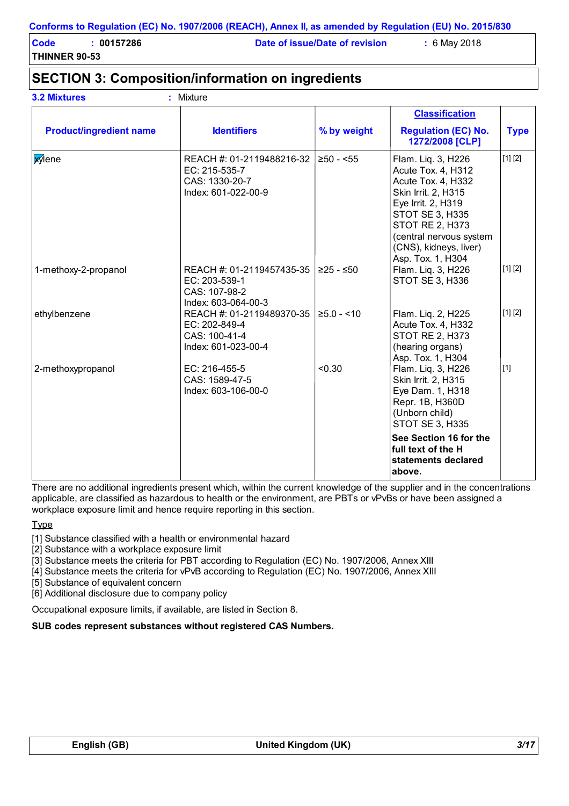**THINNER 90-53**

**Code : 00157286 Date of issue/Date of revision :** 6 May 2018

## **SECTION 3: Composition/information on ingredients**

|                                |                                                                                     |                 | <b>Classification</b>                                                                                                                                                                                                                     |             |
|--------------------------------|-------------------------------------------------------------------------------------|-----------------|-------------------------------------------------------------------------------------------------------------------------------------------------------------------------------------------------------------------------------------------|-------------|
| <b>Product/ingredient name</b> | <b>Identifiers</b>                                                                  | % by weight     | <b>Regulation (EC) No.</b><br>1272/2008 [CLP]                                                                                                                                                                                             | <b>Type</b> |
| <b>x</b> ylene                 | REACH #: 01-2119488216-32<br>EC: 215-535-7<br>CAS: 1330-20-7<br>Index: 601-022-00-9 | $≥50 - <55$     | Flam. Lig. 3, H226<br>Acute Tox. 4, H312<br>Acute Tox. 4, H332<br>Skin Irrit. 2, H315<br>Eye Irrit. 2, H319<br><b>STOT SE 3, H335</b><br><b>STOT RE 2, H373</b><br>(central nervous system<br>(CNS), kidneys, liver)<br>Asp. Tox. 1, H304 | [1] [2]     |
| 1-methoxy-2-propanol           | REACH #: 01-2119457435-35<br>EC: 203-539-1<br>CAS: 107-98-2<br>Index: 603-064-00-3  | $≥25 - ≤50$     | Flam. Liq. 3, H226<br>STOT SE 3, H336                                                                                                                                                                                                     | [1] [2]     |
| ethylbenzene                   | REACH #: 01-2119489370-35<br>EC: 202-849-4<br>CAS: 100-41-4<br>Index: 601-023-00-4  | $\geq 5.0 - 10$ | Flam. Liq. 2, H225<br>Acute Tox. 4, H332<br><b>STOT RE 2, H373</b><br>(hearing organs)<br>Asp. Tox. 1, H304                                                                                                                               | [1] [2]     |
| 2-methoxypropanol              | EC: 216-455-5<br>CAS: 1589-47-5<br>Index: 603-106-00-0                              | < 0.30          | Flam. Liq. 3, H226<br>Skin Irrit. 2, H315<br>Eye Dam. 1, H318<br>Repr. 1B, H360D<br>(Unborn child)<br><b>STOT SE 3, H335</b>                                                                                                              | $[1]$       |
|                                |                                                                                     |                 | See Section 16 for the<br>full text of the H<br>statements declared<br>above.                                                                                                                                                             |             |

There are no additional ingredients present which, within the current knowledge of the supplier and in the concentrations applicable, are classified as hazardous to health or the environment, are PBTs or vPvBs or have been assigned a workplace exposure limit and hence require reporting in this section.

#### Type

[1] Substance classified with a health or environmental hazard

[2] Substance with a workplace exposure limit

[3] Substance meets the criteria for PBT according to Regulation (EC) No. 1907/2006, Annex XIII

[4] Substance meets the criteria for vPvB according to Regulation (EC) No. 1907/2006, Annex XIII

[5] Substance of equivalent concern

[6] Additional disclosure due to company policy

Occupational exposure limits, if available, are listed in Section 8.

#### **SUB codes represent substances without registered CAS Numbers.**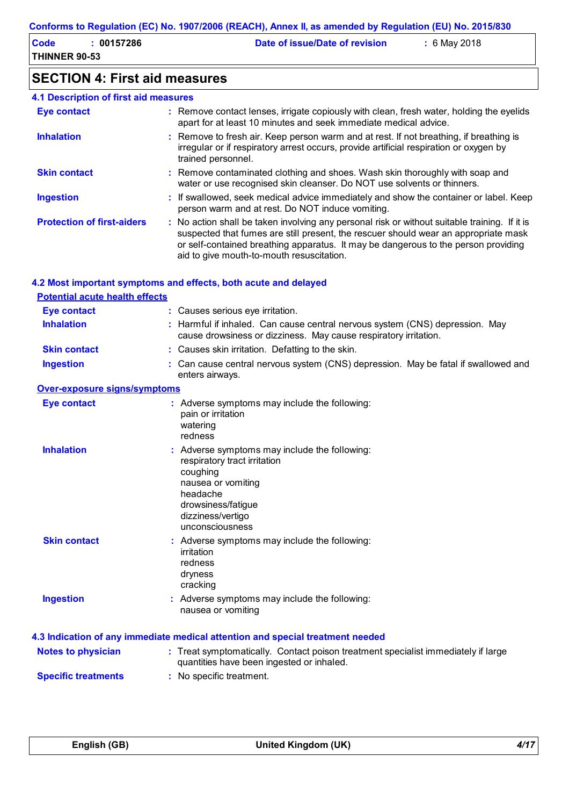| Code                 | 00157286 | Date of issue/Date of revision | $: 6$ May 2018 |
|----------------------|----------|--------------------------------|----------------|
| <b>THINNER 90-53</b> |          |                                |                |

# **SECTION 4: First aid measures**

| 4.1 Description of first aid measures |                                                                                                                                                                                                                                                                                                                         |
|---------------------------------------|-------------------------------------------------------------------------------------------------------------------------------------------------------------------------------------------------------------------------------------------------------------------------------------------------------------------------|
| Eye contact                           | : Remove contact lenses, irrigate copiously with clean, fresh water, holding the eyelids<br>apart for at least 10 minutes and seek immediate medical advice.                                                                                                                                                            |
| <b>Inhalation</b>                     | : Remove to fresh air. Keep person warm and at rest. If not breathing, if breathing is<br>irregular or if respiratory arrest occurs, provide artificial respiration or oxygen by<br>trained personnel.                                                                                                                  |
| <b>Skin contact</b>                   | : Remove contaminated clothing and shoes. Wash skin thoroughly with soap and<br>water or use recognised skin cleanser. Do NOT use solvents or thinners.                                                                                                                                                                 |
| <b>Ingestion</b>                      | : If swallowed, seek medical advice immediately and show the container or label. Keep<br>person warm and at rest. Do NOT induce vomiting.                                                                                                                                                                               |
| <b>Protection of first-aiders</b>     | : No action shall be taken involving any personal risk or without suitable training. If it is<br>suspected that fumes are still present, the rescuer should wear an appropriate mask<br>or self-contained breathing apparatus. It may be dangerous to the person providing<br>aid to give mouth-to-mouth resuscitation. |

#### **4.2 Most important symptoms and effects, both acute and delayed**

| <b>Potential acute health effects</b> |                                                                                                                                                                                           |
|---------------------------------------|-------------------------------------------------------------------------------------------------------------------------------------------------------------------------------------------|
| <b>Eye contact</b>                    | : Causes serious eye irritation.                                                                                                                                                          |
| <b>Inhalation</b>                     | : Harmful if inhaled. Can cause central nervous system (CNS) depression. May<br>cause drowsiness or dizziness. May cause respiratory irritation.                                          |
| <b>Skin contact</b>                   | : Causes skin irritation. Defatting to the skin.                                                                                                                                          |
| <b>Ingestion</b>                      | : Can cause central nervous system (CNS) depression. May be fatal if swallowed and<br>enters airways.                                                                                     |
| <b>Over-exposure signs/symptoms</b>   |                                                                                                                                                                                           |
| <b>Eye contact</b>                    | : Adverse symptoms may include the following:<br>pain or irritation<br>watering<br>redness                                                                                                |
| <b>Inhalation</b>                     | : Adverse symptoms may include the following:<br>respiratory tract irritation<br>coughing<br>nausea or vomiting<br>headache<br>drowsiness/fatigue<br>dizziness/vertigo<br>unconsciousness |
| <b>Skin contact</b>                   | : Adverse symptoms may include the following:<br>irritation<br>redness<br>dryness<br>cracking                                                                                             |
| <b>Ingestion</b>                      | : Adverse symptoms may include the following:<br>nausea or vomiting                                                                                                                       |
|                                       | 4.3 Indication of any immediate medical attention and special treatment needed                                                                                                            |
| <b>Notes to physician</b>             | : Treat symptomatically. Contact poison treatment specialist immediately if large<br>quantities have been ingested or inhaled.                                                            |
| <b>Specific treatments</b>            | : No specific treatment.                                                                                                                                                                  |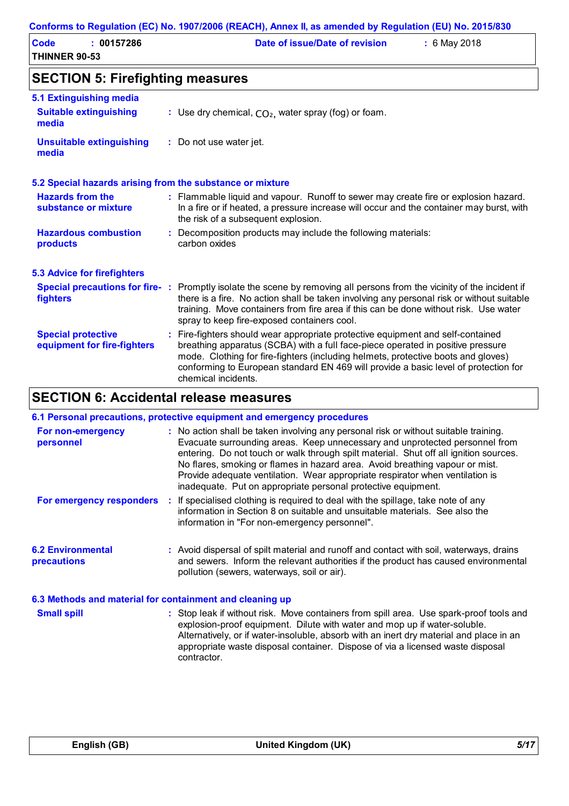| Code                 | 00157286 | Date of issue/Date of revision | $: 6$ May 2018 |
|----------------------|----------|--------------------------------|----------------|
| <b>THINNER 90-53</b> |          |                                |                |

# **SECTION 5: Firefighting measures**

| 5.1 Extinguishing media                                   |                                                                                                                                                                                                                                                                                                                                                                     |
|-----------------------------------------------------------|---------------------------------------------------------------------------------------------------------------------------------------------------------------------------------------------------------------------------------------------------------------------------------------------------------------------------------------------------------------------|
| <b>Suitable extinguishing</b><br>media                    | : Use dry chemical, $CO2$ , water spray (fog) or foam.                                                                                                                                                                                                                                                                                                              |
| <b>Unsuitable extinguishing</b><br>media                  | : Do not use water jet.                                                                                                                                                                                                                                                                                                                                             |
| 5.2 Special hazards arising from the substance or mixture |                                                                                                                                                                                                                                                                                                                                                                     |
| <b>Hazards from the</b><br>substance or mixture           | : Flammable liquid and vapour. Runoff to sewer may create fire or explosion hazard.<br>In a fire or if heated, a pressure increase will occur and the container may burst, with<br>the risk of a subsequent explosion.                                                                                                                                              |
| <b>Hazardous combustion</b><br>products                   | Decomposition products may include the following materials:<br>carbon oxides                                                                                                                                                                                                                                                                                        |
| <b>5.3 Advice for firefighters</b>                        |                                                                                                                                                                                                                                                                                                                                                                     |
| fighters                                                  | Special precautions for fire-: Promptly isolate the scene by removing all persons from the vicinity of the incident if<br>there is a fire. No action shall be taken involving any personal risk or without suitable<br>training. Move containers from fire area if this can be done without risk. Use water<br>spray to keep fire-exposed containers cool.          |
| <b>Special protective</b><br>equipment for fire-fighters  | Fire-fighters should wear appropriate protective equipment and self-contained<br>breathing apparatus (SCBA) with a full face-piece operated in positive pressure<br>mode. Clothing for fire-fighters (including helmets, protective boots and gloves)<br>conforming to European standard EN 469 will provide a basic level of protection for<br>chemical incidents. |

# **SECTION 6: Accidental release measures**

|                                                          | 6.1 Personal precautions, protective equipment and emergency procedures                                                                                                                                                                                                                                                                                                                                                                                                                        |
|----------------------------------------------------------|------------------------------------------------------------------------------------------------------------------------------------------------------------------------------------------------------------------------------------------------------------------------------------------------------------------------------------------------------------------------------------------------------------------------------------------------------------------------------------------------|
| For non-emergency<br>personnel                           | : No action shall be taken involving any personal risk or without suitable training.<br>Evacuate surrounding areas. Keep unnecessary and unprotected personnel from<br>entering. Do not touch or walk through spilt material. Shut off all ignition sources.<br>No flares, smoking or flames in hazard area. Avoid breathing vapour or mist.<br>Provide adequate ventilation. Wear appropriate respirator when ventilation is<br>inadequate. Put on appropriate personal protective equipment. |
| For emergency responders                                 | If specialised clothing is required to deal with the spillage, take note of any<br>И.,<br>information in Section 8 on suitable and unsuitable materials. See also the<br>information in "For non-emergency personnel".                                                                                                                                                                                                                                                                         |
| <b>6.2 Environmental</b><br>precautions                  | : Avoid dispersal of spilt material and runoff and contact with soil, waterways, drains<br>and sewers. Inform the relevant authorities if the product has caused environmental<br>pollution (sewers, waterways, soil or air).                                                                                                                                                                                                                                                                  |
| 6.3 Methods and material for containment and cleaning up |                                                                                                                                                                                                                                                                                                                                                                                                                                                                                                |
| <b>Small spill</b>                                       | : Stop leak if without risk. Move containers from spill area. Use spark-proof tools and<br>explosion-proof equipment. Dilute with water and mop up if water-soluble.<br>Alternatively, or if water-insoluble, absorb with an inert dry material and place in an<br>appropriate waste disposal container. Dispose of via a licensed waste disposal<br>contractor.                                                                                                                               |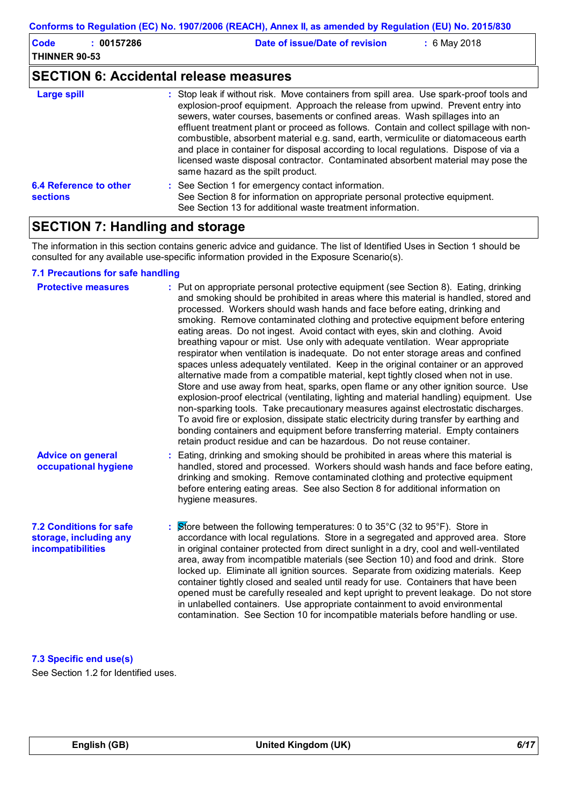| Code                 | : 00157286 | Date of issue/Date of revision | $: 6$ May 2018 |
|----------------------|------------|--------------------------------|----------------|
| <b>THINNER 90-53</b> |            |                                |                |

## **SECTION 6: Accidental release measures**

| <b>Large spill</b>                               | : Stop leak if without risk. Move containers from spill area. Use spark-proof tools and<br>explosion-proof equipment. Approach the release from upwind. Prevent entry into<br>sewers, water courses, basements or confined areas. Wash spillages into an<br>effluent treatment plant or proceed as follows. Contain and collect spillage with non-<br>combustible, absorbent material e.g. sand, earth, vermiculite or diatomaceous earth<br>and place in container for disposal according to local regulations. Dispose of via a<br>licensed waste disposal contractor. Contaminated absorbent material may pose the<br>same hazard as the spilt product. |
|--------------------------------------------------|------------------------------------------------------------------------------------------------------------------------------------------------------------------------------------------------------------------------------------------------------------------------------------------------------------------------------------------------------------------------------------------------------------------------------------------------------------------------------------------------------------------------------------------------------------------------------------------------------------------------------------------------------------|
| <b>6.4 Reference to other</b><br><b>sections</b> | : See Section 1 for emergency contact information.<br>See Section 8 for information on appropriate personal protective equipment.<br>See Section 13 for additional waste treatment information.                                                                                                                                                                                                                                                                                                                                                                                                                                                            |

## **SECTION 7: Handling and storage**

The information in this section contains generic advice and guidance. The list of Identified Uses in Section 1 should be consulted for any available use-specific information provided in the Exposure Scenario(s).

#### **7.1 Precautions for safe handling**

| <b>Protective measures</b>                                                           | : Put on appropriate personal protective equipment (see Section 8). Eating, drinking<br>and smoking should be prohibited in areas where this material is handled, stored and<br>processed. Workers should wash hands and face before eating, drinking and<br>smoking. Remove contaminated clothing and protective equipment before entering<br>eating areas. Do not ingest. Avoid contact with eyes, skin and clothing. Avoid<br>breathing vapour or mist. Use only with adequate ventilation. Wear appropriate<br>respirator when ventilation is inadequate. Do not enter storage areas and confined<br>spaces unless adequately ventilated. Keep in the original container or an approved<br>alternative made from a compatible material, kept tightly closed when not in use.<br>Store and use away from heat, sparks, open flame or any other ignition source. Use<br>explosion-proof electrical (ventilating, lighting and material handling) equipment. Use<br>non-sparking tools. Take precautionary measures against electrostatic discharges.<br>To avoid fire or explosion, dissipate static electricity during transfer by earthing and<br>bonding containers and equipment before transferring material. Empty containers<br>retain product residue and can be hazardous. Do not reuse container. |
|--------------------------------------------------------------------------------------|---------------------------------------------------------------------------------------------------------------------------------------------------------------------------------------------------------------------------------------------------------------------------------------------------------------------------------------------------------------------------------------------------------------------------------------------------------------------------------------------------------------------------------------------------------------------------------------------------------------------------------------------------------------------------------------------------------------------------------------------------------------------------------------------------------------------------------------------------------------------------------------------------------------------------------------------------------------------------------------------------------------------------------------------------------------------------------------------------------------------------------------------------------------------------------------------------------------------------------------------------------------------------------------------------------------|
| <b>Advice on general</b><br>occupational hygiene                                     | : Eating, drinking and smoking should be prohibited in areas where this material is<br>handled, stored and processed. Workers should wash hands and face before eating,<br>drinking and smoking. Remove contaminated clothing and protective equipment<br>before entering eating areas. See also Section 8 for additional information on<br>hygiene measures.                                                                                                                                                                                                                                                                                                                                                                                                                                                                                                                                                                                                                                                                                                                                                                                                                                                                                                                                                 |
| <b>7.2 Conditions for safe</b><br>storage, including any<br><b>incompatibilities</b> | : Store between the following temperatures: 0 to $35^{\circ}$ C (32 to $95^{\circ}$ F). Store in<br>accordance with local regulations. Store in a segregated and approved area. Store<br>in original container protected from direct sunlight in a dry, cool and well-ventilated<br>area, away from incompatible materials (see Section 10) and food and drink. Store<br>locked up. Eliminate all ignition sources. Separate from oxidizing materials. Keep<br>container tightly closed and sealed until ready for use. Containers that have been<br>opened must be carefully resealed and kept upright to prevent leakage. Do not store<br>in unlabelled containers. Use appropriate containment to avoid environmental<br>contamination. See Section 10 for incompatible materials before handling or use.                                                                                                                                                                                                                                                                                                                                                                                                                                                                                                  |

#### **7.3 Specific end use(s)**

See Section 1.2 for Identified uses.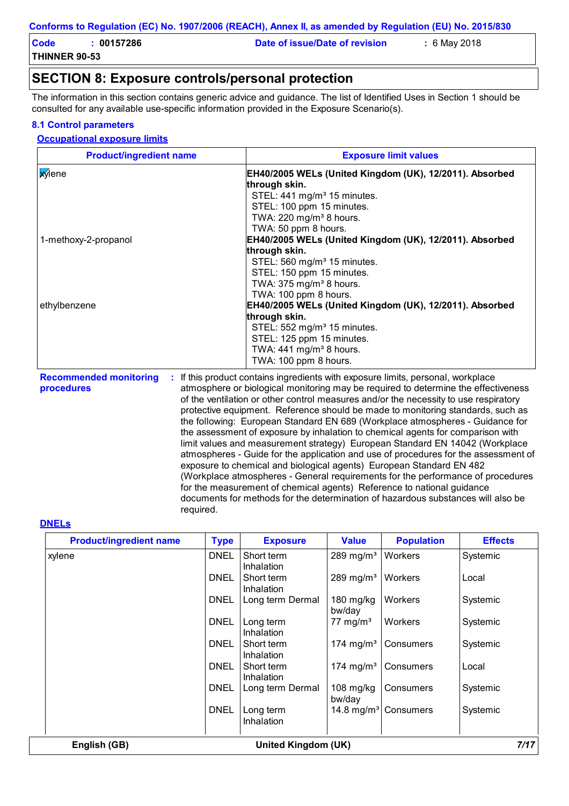| Code                 | 00157286 | Date of issue/Date of revision | $: 6$ May 2018 |
|----------------------|----------|--------------------------------|----------------|
| <b>THINNER 90-53</b> |          |                                |                |

### **SECTION 8: Exposure controls/personal protection**

The information in this section contains generic advice and guidance. The list of Identified Uses in Section 1 should be consulted for any available use-specific information provided in the Exposure Scenario(s).

#### **8.1 Control parameters**

#### **Occupational exposure limits**

| <b>Product/ingredient name</b>              | <b>Exposure limit values</b>                                                                                                                                                                                                                                                                                                                                                                                                                                                                                                                                                                                                                                                               |
|---------------------------------------------|--------------------------------------------------------------------------------------------------------------------------------------------------------------------------------------------------------------------------------------------------------------------------------------------------------------------------------------------------------------------------------------------------------------------------------------------------------------------------------------------------------------------------------------------------------------------------------------------------------------------------------------------------------------------------------------------|
| <b>x</b> ylene                              | EH40/2005 WELs (United Kingdom (UK), 12/2011). Absorbed<br>through skin.<br>STEL: 441 mg/m <sup>3</sup> 15 minutes.<br>STEL: 100 ppm 15 minutes.<br>TWA: 220 mg/m <sup>3</sup> 8 hours.                                                                                                                                                                                                                                                                                                                                                                                                                                                                                                    |
| 1-methoxy-2-propanol                        | TWA: 50 ppm 8 hours.<br>EH40/2005 WELs (United Kingdom (UK), 12/2011). Absorbed<br>through skin.<br>STEL: 560 mg/m <sup>3</sup> 15 minutes.<br>STEL: 150 ppm 15 minutes.<br>TWA: 375 mg/m <sup>3</sup> 8 hours.<br>TWA: 100 ppm 8 hours.                                                                                                                                                                                                                                                                                                                                                                                                                                                   |
| ethylbenzene                                | EH40/2005 WELs (United Kingdom (UK), 12/2011). Absorbed<br>through skin.<br>STEL: 552 mg/m <sup>3</sup> 15 minutes.<br>STEL: 125 ppm 15 minutes.<br>TWA: 441 mg/m <sup>3</sup> 8 hours.<br>TWA: 100 ppm 8 hours.                                                                                                                                                                                                                                                                                                                                                                                                                                                                           |
| <b>Recommended monitoring</b><br>procedures | If this product contains ingredients with exposure limits, personal, workplace<br>atmosphere or biological monitoring may be required to determine the effectiveness<br>of the ventilation or other control measures and/or the necessity to use respiratory<br>protective equipment. Reference should be made to monitoring standards, such as<br>the following: European Standard EN 689 (Workplace atmospheres - Guidance for<br>the assessment of exposure by inhalation to chemical agents for comparison with<br>limit values and measurement strategy) European Standard EN 14042 (Workplace<br>atmospheres - Guide for the application and use of procedures for the assessment of |

exposure to chemical and biological agents) European Standard EN 482 (Workplace atmospheres - General requirements for the performance of procedures for the measurement of chemical agents) Reference to national guidance documents for methods for the determination of hazardous substances will also be required.

#### **DNELs**

| <b>Product/ingredient name</b> | <b>Type</b> | <b>Exposure</b>                | <b>Value</b>            | <b>Population</b> | <b>Effects</b> |
|--------------------------------|-------------|--------------------------------|-------------------------|-------------------|----------------|
| xylene                         | <b>DNEL</b> | Short term<br>Inhalation       | $289$ mg/m <sup>3</sup> | Workers           | Systemic       |
|                                | <b>DNEL</b> | Short term<br>Inhalation       | $289$ mg/m <sup>3</sup> | <b>Workers</b>    | Local          |
|                                | <b>DNEL</b> | Long term Dermal               | 180 mg/kg<br>bw/day     | Workers           | Systemic       |
|                                | <b>DNEL</b> | Long term<br>Inhalation        | 77 mg/m <sup>3</sup>    | <b>Workers</b>    | Systemic       |
|                                | <b>DNEL</b> | Short term<br>Inhalation       | 174 mg/m <sup>3</sup>   | Consumers         | Systemic       |
|                                | <b>DNEL</b> | Short term<br>Inhalation       | 174 mg/m <sup>3</sup>   | Consumers         | Local          |
|                                | <b>DNEL</b> | Long term Dermal               | $108$ mg/kg<br>bw/day   | Consumers         | Systemic       |
|                                | <b>DNEL</b> | Long term<br><b>Inhalation</b> | 14.8 mg/m <sup>3</sup>  | Consumers         | Systemic       |
| English (GB)                   |             | <b>United Kingdom (UK)</b>     |                         |                   | 7/17           |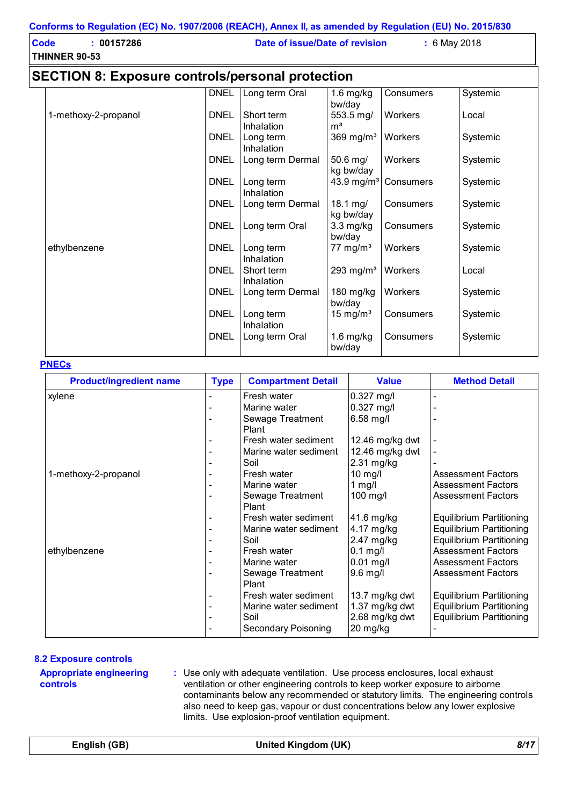| <b>Code</b><br>THINNER 90-53 | : 00157286                                              | Date of issue/Date of revision |                     | $: 6$ May 2018 |          |
|------------------------------|---------------------------------------------------------|--------------------------------|---------------------|----------------|----------|
|                              | <b>SECTION 8: Exposure controls/personal protection</b> |                                |                     |                |          |
|                              |                                                         | DNEL   Long term Oral          | 1.6 mg/kg<br>bw/dav | Consumers      | Systemic |

|                      |             |                          | pw/uay                        |                                  |          |
|----------------------|-------------|--------------------------|-------------------------------|----------------------------------|----------|
| 1-methoxy-2-propanol | <b>DNEL</b> | Short term<br>Inhalation | 553.5 mg/<br>m <sup>3</sup>   | Workers                          | Local    |
|                      | <b>DNEL</b> | Long term<br>Inhalation  | 369 mg/ $m3$                  | Workers                          | Systemic |
|                      | <b>DNEL</b> | Long term Dermal         | 50.6 mg/<br>kg bw/day         | Workers                          | Systemic |
|                      | <b>DNEL</b> | Long term<br>Inhalation  |                               | 43.9 mg/m <sup>3</sup> Consumers | Systemic |
|                      | <b>DNEL</b> | Long term Dermal         | 18.1 $mg/$<br>kg bw/day       | Consumers                        | Systemic |
|                      | <b>DNEL</b> | Long term Oral           | $3.3 \text{ mg/kg}$<br>bw/day | Consumers                        | Systemic |
| ethylbenzene         | <b>DNEL</b> | Long term<br>Inhalation  | 77 mg/m <sup>3</sup>          | Workers                          | Systemic |
|                      | <b>DNEL</b> | Short term<br>Inhalation | 293 mg/ $m3$                  | Workers                          | Local    |
|                      | <b>DNEL</b> | Long term Dermal         | 180 mg/kg<br>bw/day           | Workers                          | Systemic |
|                      | <b>DNEL</b> | Long term<br>Inhalation  | 15 mg/m <sup>3</sup>          | Consumers                        | Systemic |
|                      | <b>DNEL</b> | Long term Oral           | 1.6 mg/kg<br>bw/day           | Consumers                        | Systemic |

#### **PNECs**

| <b>Product/ingredient name</b> | <b>Type</b> | <b>Compartment Detail</b> | <b>Value</b>    | <b>Method Detail</b>            |
|--------------------------------|-------------|---------------------------|-----------------|---------------------------------|
| xylene                         |             | Fresh water               | $0.327$ mg/l    |                                 |
|                                |             | Marine water              | $0.327$ mg/l    |                                 |
|                                |             | Sewage Treatment<br>Plant | 6.58 mg/l       |                                 |
|                                |             | Fresh water sediment      | 12.46 mg/kg dwt |                                 |
|                                |             | Marine water sediment     | 12.46 mg/kg dwt |                                 |
|                                |             | Soil                      | 2.31 mg/kg      |                                 |
| 1-methoxy-2-propanol           |             | Fresh water               | $10$ mg/l       | <b>Assessment Factors</b>       |
|                                |             | Marine water              | 1 $mg/l$        | <b>Assessment Factors</b>       |
|                                |             | Sewage Treatment<br>Plant | 100 mg/l        | <b>Assessment Factors</b>       |
|                                |             | Fresh water sediment      | 41.6 mg/kg      | <b>Equilibrium Partitioning</b> |
|                                |             | Marine water sediment     | 4.17 mg/kg      | <b>Equilibrium Partitioning</b> |
|                                |             | Soil                      | 2.47 mg/kg      | <b>Equilibrium Partitioning</b> |
| ethylbenzene                   |             | Fresh water               | $0.1$ mg/l      | <b>Assessment Factors</b>       |
|                                |             | Marine water              | $0.01$ mg/l     | <b>Assessment Factors</b>       |
|                                |             | Sewage Treatment<br>Plant | $9.6$ mg/l      | <b>Assessment Factors</b>       |
|                                |             | Fresh water sediment      | 13.7 mg/kg dwt  | <b>Equilibrium Partitioning</b> |
|                                |             | Marine water sediment     | 1.37 mg/kg dwt  | <b>Equilibrium Partitioning</b> |
|                                |             | Soil                      | 2.68 mg/kg dwt  | <b>Equilibrium Partitioning</b> |
|                                |             | Secondary Poisoning       | 20 mg/kg        |                                 |

#### **8.2 Exposure controls**

**Appropriate engineering controls**

**:** Use only with adequate ventilation. Use process enclosures, local exhaust ventilation or other engineering controls to keep worker exposure to airborne contaminants below any recommended or statutory limits. The engineering controls also need to keep gas, vapour or dust concentrations below any lower explosive limits. Use explosion-proof ventilation equipment.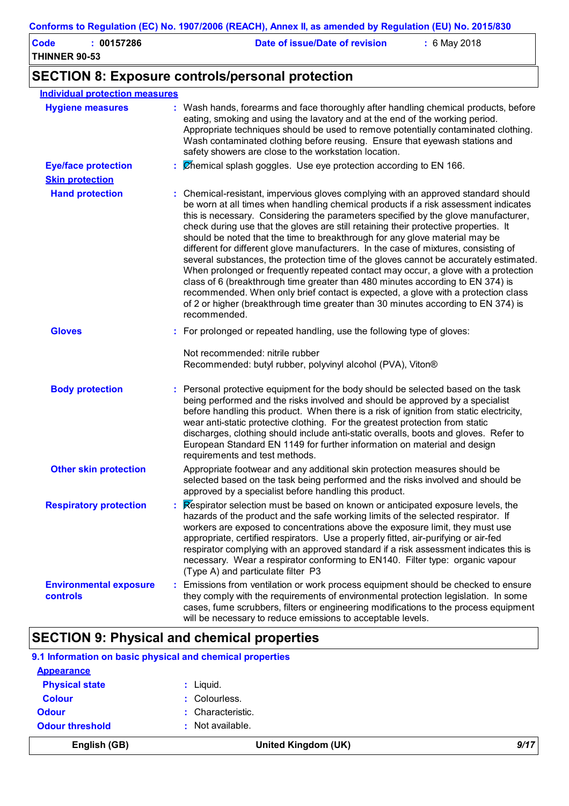| Code                 | 00157286 | Date of issue/Date of revision | $: 6$ May 2018 |
|----------------------|----------|--------------------------------|----------------|
| <b>THINNER 90-53</b> |          |                                |                |

# **SECTION 8: Exposure controls/personal protection**

| <b>Individual protection measures</b>            |                                                                                                                                                                                                                                                                                                                                                                                                                                                                                                                                                                                                                                                                                                                                                                                                                                                                                                                                                                                          |
|--------------------------------------------------|------------------------------------------------------------------------------------------------------------------------------------------------------------------------------------------------------------------------------------------------------------------------------------------------------------------------------------------------------------------------------------------------------------------------------------------------------------------------------------------------------------------------------------------------------------------------------------------------------------------------------------------------------------------------------------------------------------------------------------------------------------------------------------------------------------------------------------------------------------------------------------------------------------------------------------------------------------------------------------------|
| <b>Hygiene measures</b>                          | : Wash hands, forearms and face thoroughly after handling chemical products, before<br>eating, smoking and using the lavatory and at the end of the working period.<br>Appropriate techniques should be used to remove potentially contaminated clothing.<br>Wash contaminated clothing before reusing. Ensure that eyewash stations and<br>safety showers are close to the workstation location.                                                                                                                                                                                                                                                                                                                                                                                                                                                                                                                                                                                        |
| <b>Eye/face protection</b>                       | Chemical splash goggles. Use eye protection according to EN 166.                                                                                                                                                                                                                                                                                                                                                                                                                                                                                                                                                                                                                                                                                                                                                                                                                                                                                                                         |
| <b>Skin protection</b>                           |                                                                                                                                                                                                                                                                                                                                                                                                                                                                                                                                                                                                                                                                                                                                                                                                                                                                                                                                                                                          |
| <b>Hand protection</b>                           | : Chemical-resistant, impervious gloves complying with an approved standard should<br>be worn at all times when handling chemical products if a risk assessment indicates<br>this is necessary. Considering the parameters specified by the glove manufacturer,<br>check during use that the gloves are still retaining their protective properties. It<br>should be noted that the time to breakthrough for any glove material may be<br>different for different glove manufacturers. In the case of mixtures, consisting of<br>several substances, the protection time of the gloves cannot be accurately estimated.<br>When prolonged or frequently repeated contact may occur, a glove with a protection<br>class of 6 (breakthrough time greater than 480 minutes according to EN 374) is<br>recommended. When only brief contact is expected, a glove with a protection class<br>of 2 or higher (breakthrough time greater than 30 minutes according to EN 374) is<br>recommended. |
| <b>Gloves</b>                                    | : For prolonged or repeated handling, use the following type of gloves:                                                                                                                                                                                                                                                                                                                                                                                                                                                                                                                                                                                                                                                                                                                                                                                                                                                                                                                  |
|                                                  | Not recommended: nitrile rubber<br>Recommended: butyl rubber, polyvinyl alcohol (PVA), Viton®                                                                                                                                                                                                                                                                                                                                                                                                                                                                                                                                                                                                                                                                                                                                                                                                                                                                                            |
| <b>Body protection</b>                           | : Personal protective equipment for the body should be selected based on the task<br>being performed and the risks involved and should be approved by a specialist<br>before handling this product. When there is a risk of ignition from static electricity,<br>wear anti-static protective clothing. For the greatest protection from static<br>discharges, clothing should include anti-static overalls, boots and gloves. Refer to<br>European Standard EN 1149 for further information on material and design<br>requirements and test methods.                                                                                                                                                                                                                                                                                                                                                                                                                                     |
| <b>Other skin protection</b>                     | Appropriate footwear and any additional skin protection measures should be<br>selected based on the task being performed and the risks involved and should be<br>approved by a specialist before handling this product.                                                                                                                                                                                                                                                                                                                                                                                                                                                                                                                                                                                                                                                                                                                                                                  |
| <b>Respiratory protection</b><br>t.              | Respirator selection must be based on known or anticipated exposure levels, the<br>hazards of the product and the safe working limits of the selected respirator. If<br>workers are exposed to concentrations above the exposure limit, they must use<br>appropriate, certified respirators. Use a properly fitted, air-purifying or air-fed<br>respirator complying with an approved standard if a risk assessment indicates this is<br>necessary. Wear a respirator conforming to EN140. Filter type: organic vapour<br>(Type A) and particulate filter P3                                                                                                                                                                                                                                                                                                                                                                                                                             |
| <b>Environmental exposure</b><br><b>controls</b> | Emissions from ventilation or work process equipment should be checked to ensure<br>÷.<br>they comply with the requirements of environmental protection legislation. In some<br>cases, fume scrubbers, filters or engineering modifications to the process equipment<br>will be necessary to reduce emissions to acceptable levels.                                                                                                                                                                                                                                                                                                                                                                                                                                                                                                                                                                                                                                                      |

# **SECTION 9: Physical and chemical properties**

| <b>Physical state</b><br>$:$ Liquid.<br><b>Colour</b><br>: Colourless.<br>: Characteristic.<br><b>Odour</b><br>: Not available.<br><b>Odour threshold</b> |  |  |  |  |  |
|-----------------------------------------------------------------------------------------------------------------------------------------------------------|--|--|--|--|--|
|                                                                                                                                                           |  |  |  |  |  |
|                                                                                                                                                           |  |  |  |  |  |
|                                                                                                                                                           |  |  |  |  |  |
|                                                                                                                                                           |  |  |  |  |  |
| <b>Appearance</b>                                                                                                                                         |  |  |  |  |  |
| 9.1 Information on basic physical and chemical properties                                                                                                 |  |  |  |  |  |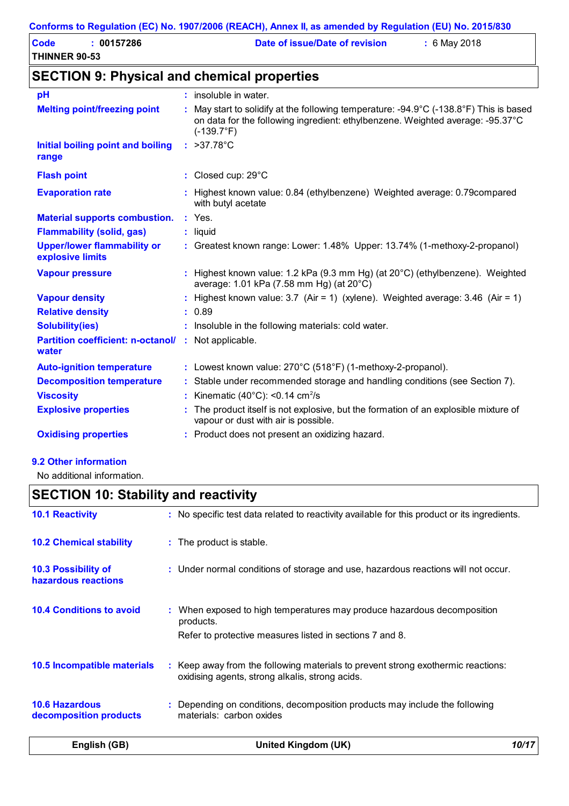| Code                 | 00157286 | Date of issue/Date of revision | : 6 May 2018 |
|----------------------|----------|--------------------------------|--------------|
| <b>THINNER 90-53</b> |          |                                |              |

# **SECTION 9: Physical and chemical properties**

| pH                                                     | insoluble in water.                                                                                                                                                                           |
|--------------------------------------------------------|-----------------------------------------------------------------------------------------------------------------------------------------------------------------------------------------------|
| <b>Melting point/freezing point</b>                    | May start to solidify at the following temperature: -94.9°C (-138.8°F) This is based<br>on data for the following ingredient: ethylbenzene. Weighted average: -95.37°C<br>$(-139.7^{\circ}F)$ |
| Initial boiling point and boiling<br>range             | : $>37.78^{\circ}$ C                                                                                                                                                                          |
| <b>Flash point</b>                                     | $:$ Closed cup: 29 $^{\circ}$ C                                                                                                                                                               |
| <b>Evaporation rate</b>                                | Highest known value: 0.84 (ethylbenzene) Weighted average: 0.79 compared<br>with butyl acetate                                                                                                |
| <b>Material supports combustion.</b>                   | $:$ Yes.                                                                                                                                                                                      |
| <b>Flammability (solid, gas)</b>                       | : liquid                                                                                                                                                                                      |
| <b>Upper/lower flammability or</b><br>explosive limits | : Greatest known range: Lower: 1.48% Upper: 13.74% (1-methoxy-2-propanol)                                                                                                                     |
| <b>Vapour pressure</b>                                 | : Highest known value: 1.2 kPa (9.3 mm Hg) (at 20°C) (ethylbenzene). Weighted<br>average: 1.01 kPa (7.58 mm Hg) (at 20°C)                                                                     |
| <b>Vapour density</b>                                  | Highest known value: 3.7 (Air = 1) (xylene). Weighted average: $3.46$ (Air = 1)                                                                                                               |
| <b>Relative density</b>                                | : 0.89                                                                                                                                                                                        |
| <b>Solubility(ies)</b>                                 | Insoluble in the following materials: cold water.                                                                                                                                             |
| <b>Partition coefficient: n-octanol/</b><br>water      | : Not applicable.                                                                                                                                                                             |
| <b>Auto-ignition temperature</b>                       | : Lowest known value: 270°C (518°F) (1-methoxy-2-propanol).                                                                                                                                   |
| <b>Decomposition temperature</b>                       | Stable under recommended storage and handling conditions (see Section 7).                                                                                                                     |
| <b>Viscosity</b>                                       | Kinematic $(40^{\circ}$ C): <0.14 cm <sup>2</sup> /s                                                                                                                                          |
| <b>Explosive properties</b>                            | The product itself is not explosive, but the formation of an explosible mixture of<br>vapour or dust with air is possible.                                                                    |
| <b>Oxidising properties</b>                            | Product does not present an oxidizing hazard.                                                                                                                                                 |

#### **9.2 Other information**

No additional information.

# **SECTION 10: Stability and reactivity**

| English (GB)                                      | United Kingdom (UK)                                                                                                                              | 10/17 |
|---------------------------------------------------|--------------------------------------------------------------------------------------------------------------------------------------------------|-------|
| <b>10.6 Hazardous</b><br>decomposition products   | : Depending on conditions, decomposition products may include the following<br>materials: carbon oxides                                          |       |
| 10.5 Incompatible materials                       | : Keep away from the following materials to prevent strong exothermic reactions:<br>oxidising agents, strong alkalis, strong acids.              |       |
| <b>10.4 Conditions to avoid</b>                   | : When exposed to high temperatures may produce hazardous decomposition<br>products.<br>Refer to protective measures listed in sections 7 and 8. |       |
| <b>10.3 Possibility of</b><br>hazardous reactions | : Under normal conditions of storage and use, hazardous reactions will not occur.                                                                |       |
| <b>10.2 Chemical stability</b>                    | : The product is stable.                                                                                                                         |       |
| <b>10.1 Reactivity</b>                            | : No specific test data related to reactivity available for this product or its ingredients.                                                     |       |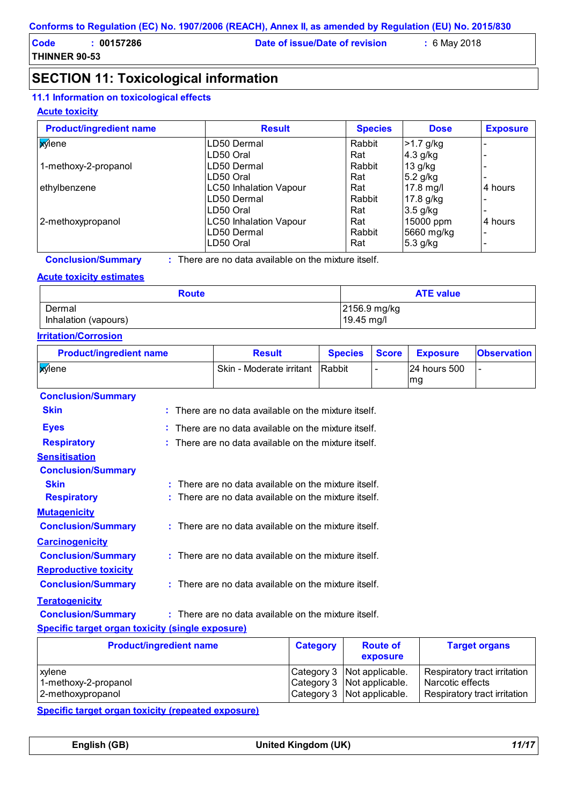| Code                 | 00157286 | Date of issue/Date of revision | $: 6$ May 2018 |
|----------------------|----------|--------------------------------|----------------|
| <b>THINNER 90-53</b> |          |                                |                |

## **SECTION 11: Toxicological information**

## **11.1 Information on toxicological effects**

#### **Acute toxicity**

| <b>Product/ingredient name</b> | <b>Result</b>                 | <b>Species</b> | <b>Dose</b> | <b>Exposure</b> |
|--------------------------------|-------------------------------|----------------|-------------|-----------------|
| <b>x</b> ylene                 | LD50 Dermal                   | Rabbit         | -1.7 g/kg   |                 |
|                                | LD50 Oral                     | Rat            | $4.3$ g/kg  |                 |
| 1-methoxy-2-propanol           | LD50 Dermal                   | Rabbit         | $13$ g/kg   |                 |
|                                | LD50 Oral                     | Rat            | $5.2$ g/kg  |                 |
| ethylbenzene                   | <b>LC50 Inhalation Vapour</b> | Rat            | $17.8$ mg/l | 4 hours         |
|                                | LD50 Dermal                   | Rabbit         | 17.8 g/kg   |                 |
|                                | LD50 Oral                     | Rat            | $3.5$ g/kg  |                 |
| 2-methoxypropanol              | <b>LC50 Inhalation Vapour</b> | Rat            | 15000 ppm   | 4 hours         |
|                                | LD50 Dermal                   | Rabbit         | 5660 mg/kg  |                 |
|                                | LD50 Oral                     | Rat            | 5.3 g/kg    |                 |

**Conclusion/Summary :** : There are no data available on the mixture itself.

#### **Acute toxicity estimates**

| <b>Route</b>                   | <b>ATE value</b>             |
|--------------------------------|------------------------------|
| Dermal<br>Inhalation (vapours) | 2156.9 mg/kg<br>$19.45$ mg/l |
|                                |                              |

#### **Irritation/Corrosion**

| <b>Product/ingredient name</b>                          |  | <b>Result</b>                                          | <b>Species</b> | <b>Score</b> | <b>Exposure</b>    | <b>Observation</b> |
|---------------------------------------------------------|--|--------------------------------------------------------|----------------|--------------|--------------------|--------------------|
| <b>xylene</b>                                           |  | Skin - Moderate irritant                               | Rabbit         |              | 24 hours 500<br>mg |                    |
| <b>Conclusion/Summary</b>                               |  |                                                        |                |              |                    |                    |
| <b>Skin</b>                                             |  | $:$ There are no data available on the mixture itself. |                |              |                    |                    |
| <b>Eyes</b>                                             |  | $:$ There are no data available on the mixture itself. |                |              |                    |                    |
| <b>Respiratory</b>                                      |  | : There are no data available on the mixture itself.   |                |              |                    |                    |
| <b>Sensitisation</b>                                    |  |                                                        |                |              |                    |                    |
| <b>Conclusion/Summary</b>                               |  |                                                        |                |              |                    |                    |
| <b>Skin</b>                                             |  | $:$ There are no data available on the mixture itself. |                |              |                    |                    |
| <b>Respiratory</b>                                      |  | : There are no data available on the mixture itself.   |                |              |                    |                    |
| <b>Mutagenicity</b>                                     |  |                                                        |                |              |                    |                    |
| <b>Conclusion/Summary</b>                               |  | $:$ There are no data available on the mixture itself. |                |              |                    |                    |
| <b>Carcinogenicity</b>                                  |  |                                                        |                |              |                    |                    |
| <b>Conclusion/Summary</b>                               |  | : There are no data available on the mixture itself.   |                |              |                    |                    |
| <b>Reproductive toxicity</b>                            |  |                                                        |                |              |                    |                    |
| <b>Conclusion/Summary</b>                               |  | $:$ There are no data available on the mixture itself. |                |              |                    |                    |
| <b>Teratogenicity</b>                                   |  |                                                        |                |              |                    |                    |
| <b>Conclusion/Summary</b>                               |  | : There are no data available on the mixture itself.   |                |              |                    |                    |
| <b>Specific target organ toxicity (single exposure)</b> |  |                                                        |                |              |                    |                    |

| <b>Product/ingredient name</b> | <b>Category</b> | <b>Route of</b><br>exposure | <b>Target organs</b>         |
|--------------------------------|-----------------|-----------------------------|------------------------------|
| xylene                         |                 | Category 3 Not applicable.  | Respiratory tract irritation |
| 1-methoxy-2-propanol           |                 | Category 3 Not applicable.  | Narcotic effects             |
| 2-methoxypropanol              |                 | Category 3 Not applicable.  | Respiratory tract irritation |

**Specific target organ toxicity (repeated exposure)**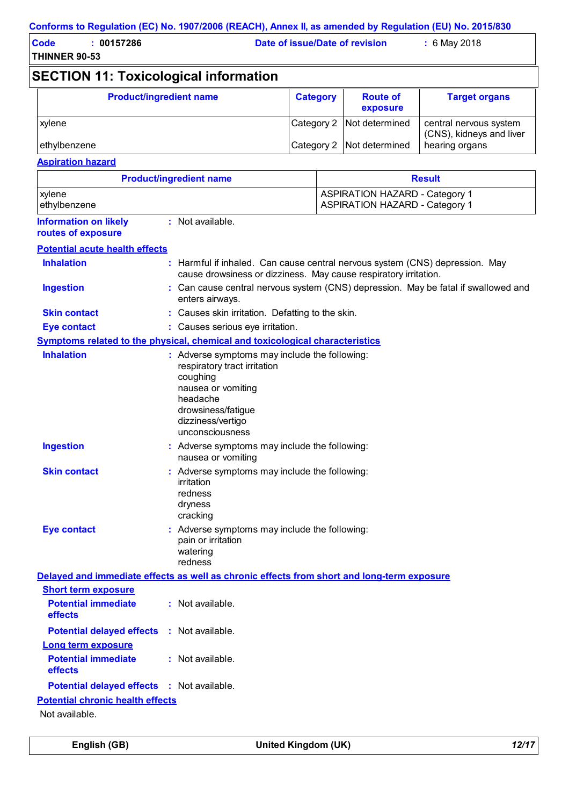| Code                 | : 00157286 | Date of issue/Date of revision | $: 6$ May 2018 |
|----------------------|------------|--------------------------------|----------------|
| <b>THINNER 90-53</b> |            |                                |                |

# **SECTION 11: Toxicological information**

| <b>Product/ingredient name</b> | <b>Category</b> | <b>Route of</b><br>exposure | <b>Target organs</b>                               |
|--------------------------------|-----------------|-----------------------------|----------------------------------------------------|
| xylene                         |                 | Category 2   Not determined | central nervous system<br>(CNS), kidneys and liver |
| ethylbenzene                   |                 | Category 2   Not determined | hearing organs                                     |

#### **Aspiration hazard**

|                                                                     | <b>Product/ingredient name</b>                                                                                                                                                            | <b>Result</b>                                                                      |  |
|---------------------------------------------------------------------|-------------------------------------------------------------------------------------------------------------------------------------------------------------------------------------------|------------------------------------------------------------------------------------|--|
| xylene<br>ethylbenzene                                              |                                                                                                                                                                                           | <b>ASPIRATION HAZARD - Category 1</b><br><b>ASPIRATION HAZARD - Category 1</b>     |  |
| <b>Information on likely</b><br>routes of exposure                  | : Not available.                                                                                                                                                                          |                                                                                    |  |
| <b>Potential acute health effects</b>                               |                                                                                                                                                                                           |                                                                                    |  |
| <b>Inhalation</b>                                                   | cause drowsiness or dizziness. May cause respiratory irritation.                                                                                                                          | : Harmful if inhaled. Can cause central nervous system (CNS) depression. May       |  |
| <b>Ingestion</b>                                                    | enters airways.                                                                                                                                                                           | : Can cause central nervous system (CNS) depression. May be fatal if swallowed and |  |
| <b>Skin contact</b>                                                 | : Causes skin irritation. Defatting to the skin.                                                                                                                                          |                                                                                    |  |
| <b>Eye contact</b>                                                  | : Causes serious eye irritation.                                                                                                                                                          |                                                                                    |  |
|                                                                     | Symptoms related to the physical, chemical and toxicological characteristics                                                                                                              |                                                                                    |  |
| <b>Inhalation</b>                                                   | : Adverse symptoms may include the following:<br>respiratory tract irritation<br>coughing<br>nausea or vomiting<br>headache<br>drowsiness/fatigue<br>dizziness/vertigo<br>unconsciousness |                                                                                    |  |
| <b>Ingestion</b>                                                    | : Adverse symptoms may include the following:<br>nausea or vomiting                                                                                                                       |                                                                                    |  |
| <b>Skin contact</b>                                                 | : Adverse symptoms may include the following:<br>irritation<br>redness<br>dryness<br>cracking                                                                                             |                                                                                    |  |
| <b>Eye contact</b>                                                  | : Adverse symptoms may include the following:<br>pain or irritation<br>watering<br>redness                                                                                                |                                                                                    |  |
|                                                                     | Delayed and immediate effects as well as chronic effects from short and long-term exposure                                                                                                |                                                                                    |  |
| <b>Short term exposure</b><br><b>Potential immediate</b><br>effects | : Not available.                                                                                                                                                                          |                                                                                    |  |
| <b>Potential delayed effects</b>                                    | : Not available.                                                                                                                                                                          |                                                                                    |  |
| <b>Long term exposure</b>                                           |                                                                                                                                                                                           |                                                                                    |  |
| <b>Potential immediate</b><br>effects                               | : Not available.                                                                                                                                                                          |                                                                                    |  |
| <b>Potential delayed effects : Not available.</b>                   |                                                                                                                                                                                           |                                                                                    |  |
| <b>Potential chronic health effects</b><br>Not available.           |                                                                                                                                                                                           |                                                                                    |  |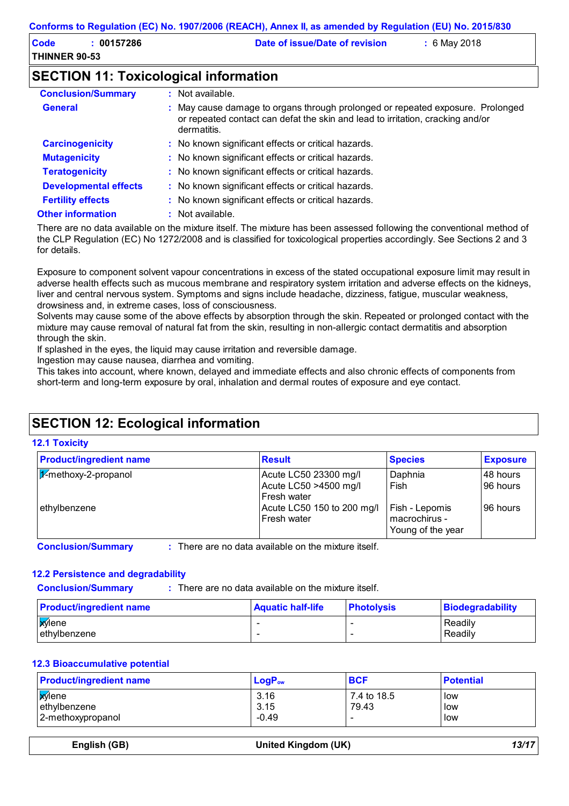| Code                 | : 00157286 | Date of issue/Date of revision | $: 6$ May 2018 |
|----------------------|------------|--------------------------------|----------------|
| <b>THINNER 90-53</b> |            |                                |                |

# **SECTION 11: Toxicological information**

| <b>Conclusion/Summary</b>    | $:$ Not available.                                                                                                                                                              |
|------------------------------|---------------------------------------------------------------------------------------------------------------------------------------------------------------------------------|
| <b>General</b>               | : May cause damage to organs through prolonged or repeated exposure. Prolonged<br>or repeated contact can defat the skin and lead to irritation, cracking and/or<br>dermatitis. |
| <b>Carcinogenicity</b>       | : No known significant effects or critical hazards.                                                                                                                             |
| <b>Mutagenicity</b>          | : No known significant effects or critical hazards.                                                                                                                             |
| <b>Teratogenicity</b>        | : No known significant effects or critical hazards.                                                                                                                             |
| <b>Developmental effects</b> | : No known significant effects or critical hazards.                                                                                                                             |
| <b>Fertility effects</b>     | : No known significant effects or critical hazards.                                                                                                                             |
| <b>Other information</b>     | : Not available.                                                                                                                                                                |

There are no data available on the mixture itself. The mixture has been assessed following the conventional method of the CLP Regulation (EC) No 1272/2008 and is classified for toxicological properties accordingly. See Sections 2 and 3 for details.

Exposure to component solvent vapour concentrations in excess of the stated occupational exposure limit may result in adverse health effects such as mucous membrane and respiratory system irritation and adverse effects on the kidneys, liver and central nervous system. Symptoms and signs include headache, dizziness, fatigue, muscular weakness, drowsiness and, in extreme cases, loss of consciousness.

Solvents may cause some of the above effects by absorption through the skin. Repeated or prolonged contact with the mixture may cause removal of natural fat from the skin, resulting in non-allergic contact dermatitis and absorption through the skin.

If splashed in the eyes, the liquid may cause irritation and reversible damage.

Ingestion may cause nausea, diarrhea and vomiting.

This takes into account, where known, delayed and immediate effects and also chronic effects of components from short-term and long-term exposure by oral, inhalation and dermal routes of exposure and eye contact.

## **SECTION 12: Ecological information**

#### **12.1 Toxicity**

| <b>Product/ingredient name</b>     | <b>Result</b>                                                 | <b>Species</b>                                       | <b>Exposure</b>      |
|------------------------------------|---------------------------------------------------------------|------------------------------------------------------|----------------------|
| 1 <sup>7</sup> -methoxy-2-propanol | Acute LC50 23300 mg/l<br>Acute LC50 >4500 mg/l<br>Fresh water | Daphnia<br>Fish                                      | 48 hours<br>96 hours |
| ethylbenzene                       | Acute LC50 150 to 200 mg/l<br>Fresh water                     | Fish - Lepomis<br>macrochirus -<br>Young of the year | 96 hours             |

**Conclusion/Summary :** : There are no data available on the mixture itself.

#### **12.2 Persistence and degradability**

**Conclusion/Summary :** There are no data available on the mixture itself.

| <b>Product/ingredient name</b> | <b>Aquatic half-life</b> | <b>Photolysis</b> | <b>Biodegradability</b> |
|--------------------------------|--------------------------|-------------------|-------------------------|
| <b>X</b> ylene                 |                          |                   | Readily<br>Readily      |
| ethylbenzene                   |                          |                   |                         |

#### **12.3 Bioaccumulative potential**

| <b>Product/ingredient name</b>                      | LogP <sub>ow</sub>      | <b>BCF</b>           | <b>Potential</b>  |
|-----------------------------------------------------|-------------------------|----------------------|-------------------|
| <b>xy</b> lene<br>ethylbenzene<br>2-methoxypropanol | 3.16<br>3.15<br>$-0.49$ | 7.4 to 18.5<br>79.43 | low<br>low<br>low |

| English (GB) | United Kingdom (UK) | 13/17 |
|--------------|---------------------|-------|
|--------------|---------------------|-------|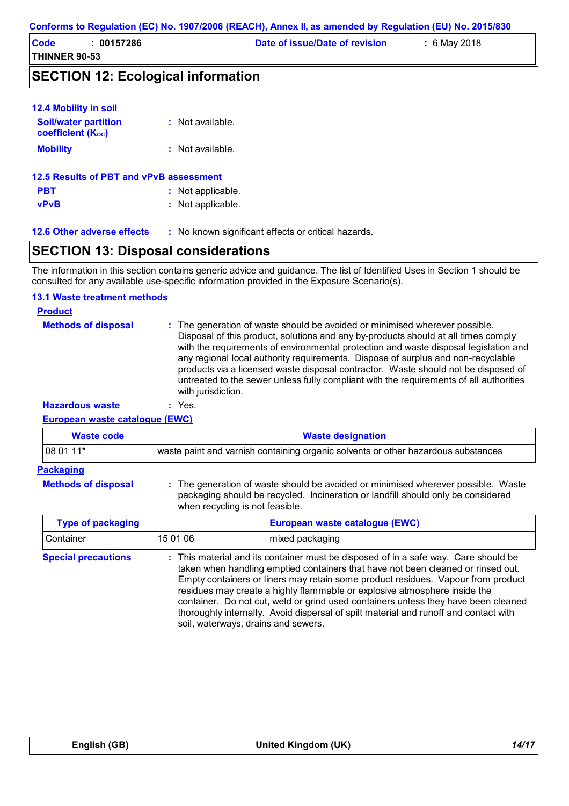| Code                 | :00157286 | Date of issue/Date of revision | $\div$ 6 May 2018 |
|----------------------|-----------|--------------------------------|-------------------|
| <b>THINNER 90-53</b> |           |                                |                   |

## **SECTION 12: Ecological information**

| <b>12.4 Mobility in soil</b>                            |                                                    |
|---------------------------------------------------------|----------------------------------------------------|
| <b>Soil/water partition</b><br><b>coefficient (Koc)</b> | : Not available.                                   |
| <b>Mobility</b>                                         | $:$ Not available.                                 |
| 12.5 Results of PBT and vPvB assessment                 |                                                    |
| <b>PBT</b>                                              | : Not applicable.                                  |
| <b>vPvB</b>                                             | : Not applicable.                                  |
| <b>12.6 Other adverse effects</b>                       | : No known significant effects or critical hazards |

### **SECTION 13: Disposal considerations**

The information in this section contains generic advice and guidance. The list of Identified Uses in Section 1 should be consulted for any available use-specific information provided in the Exposure Scenario(s).

#### **13.1 Waste treatment methods**

**Product**

| <b>Methods of disposal</b>            | : The generation of waste should be avoided or minimised wherever possible.<br>Disposal of this product, solutions and any by-products should at all times comply<br>with the requirements of environmental protection and waste disposal legislation and<br>any regional local authority requirements. Dispose of surplus and non-recyclable<br>products via a licensed waste disposal contractor. Waste should not be disposed of<br>untreated to the sewer unless fully compliant with the requirements of all authorities<br>with jurisdiction. |  |  |
|---------------------------------------|-----------------------------------------------------------------------------------------------------------------------------------------------------------------------------------------------------------------------------------------------------------------------------------------------------------------------------------------------------------------------------------------------------------------------------------------------------------------------------------------------------------------------------------------------------|--|--|
| <b>Hazardous waste</b>                | $:$ Yes.                                                                                                                                                                                                                                                                                                                                                                                                                                                                                                                                            |  |  |
| <b>European waste catalogue (EWC)</b> |                                                                                                                                                                                                                                                                                                                                                                                                                                                                                                                                                     |  |  |
| <b>Waste code</b>                     | <b>Waste designation</b>                                                                                                                                                                                                                                                                                                                                                                                                                                                                                                                            |  |  |
| 08 01 11*                             | waste paint and varnish containing organic solvents or other hazardous substances                                                                                                                                                                                                                                                                                                                                                                                                                                                                   |  |  |
| <b>Packaging</b>                      |                                                                                                                                                                                                                                                                                                                                                                                                                                                                                                                                                     |  |  |
| <b>Methods of disposal</b>            | : The generation of waste should be avoided or minimised wherever possible. Waste<br>packaging should be recycled. Incineration or landfill should only be considered<br>when recycling is not feasible.                                                                                                                                                                                                                                                                                                                                            |  |  |
| <b>Type of packaging</b>              | European waste catalogue (EWC)                                                                                                                                                                                                                                                                                                                                                                                                                                                                                                                      |  |  |
| Container                             | 15 01 06<br>mixed packaging                                                                                                                                                                                                                                                                                                                                                                                                                                                                                                                         |  |  |
| <b>Special precautions</b>            | : This material and its container must be disposed of in a safe way. Care should be<br>taken when handling emptied containers that have not been cleaned or rinsed out.<br>Empty containers or liners may retain some product residues. Vapour from product<br>residues may create a highly flammable or explosive atmosphere inside the<br>container. Do not cut, weld or grind used containers unless they have been cleaned<br>thoroughly internally. Avoid dispersal of spilt material and runoff and contact with                              |  |  |

soil, waterways, drains and sewers.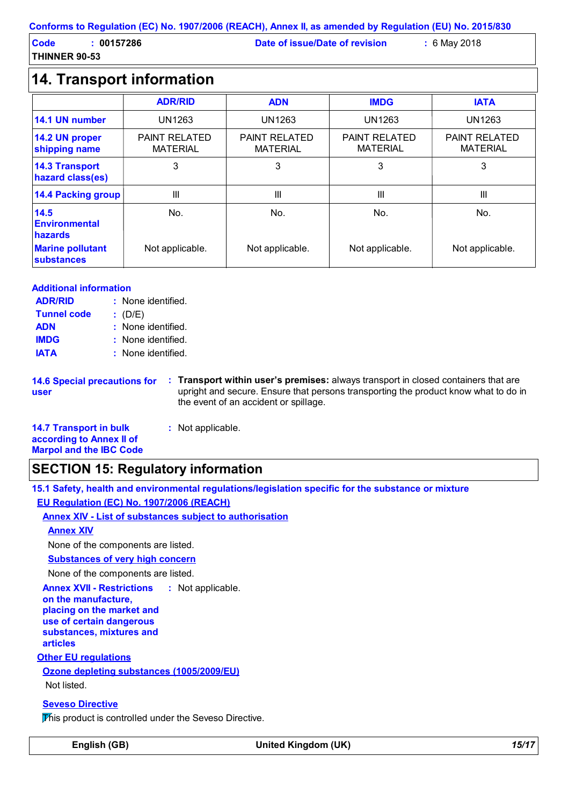|  | Conforms to Regulation (EC) No. 1907/2006 (REACH), Annex II, as amended by Regulation (EU) No. 2015/830 |  |
|--|---------------------------------------------------------------------------------------------------------|--|
|--|---------------------------------------------------------------------------------------------------------|--|

| Code                 | :~00157286 | Date of issue/Date of revision | $: 6$ May 2018 |
|----------------------|------------|--------------------------------|----------------|
| <b>THINNER 90-53</b> |            |                                |                |

# **14. Transport information**

|                                              | <b>ADR/RID</b>                          | <b>ADN</b>                              | <b>IMDG</b>                             | <b>IATA</b>                             |
|----------------------------------------------|-----------------------------------------|-----------------------------------------|-----------------------------------------|-----------------------------------------|
| 14.1 UN number                               | UN1263                                  | <b>UN1263</b>                           | <b>UN1263</b>                           | UN1263                                  |
| 14.2 UN proper<br>shipping name              | <b>PAINT RELATED</b><br><b>MATERIAL</b> | <b>PAINT RELATED</b><br><b>MATERIAL</b> | <b>PAINT RELATED</b><br><b>MATERIAL</b> | <b>PAINT RELATED</b><br><b>MATERIAL</b> |
| <b>14.3 Transport</b><br>hazard class(es)    | 3                                       | 3                                       | 3                                       | 3                                       |
| <b>14.4 Packing group</b>                    | Ш                                       | III                                     | Ш                                       | Ш                                       |
| 14.5<br><b>Environmental</b><br>hazards      | No.                                     | No.                                     | No.                                     | No.                                     |
| <b>Marine pollutant</b><br><b>substances</b> | Not applicable.                         | Not applicable.                         | Not applicable.                         | Not applicable.                         |

#### **Additional information**

| <b>ADR/RID</b>     | : None identified. |
|--------------------|--------------------|
| <b>Tunnel code</b> | (D/E)              |
| <b>ADN</b>         | : None identified. |
| <b>IMDG</b>        | : None identified. |
| IATA               | : None identified. |

**14.6 Special precautions for : Transport within user's premises:** always transport in closed containers that are upright and secure. Ensure that persons transporting the product know what to do in the event of an accident or spillage. **user**

| <b>14.7 Transport in bulk</b>  | : Not applicable. |
|--------------------------------|-------------------|
| according to Annex II of       |                   |
| <b>Marpol and the IBC Code</b> |                   |

## **SECTION 15: Regulatory information**

**15.1 Safety, health and environmental regulations/legislation specific for the substance or mixture EU Regulation (EC) No. 1907/2006 (REACH)**

**Annex XIV - List of substances subject to authorisation**

#### **Annex XIV**

None of the components are listed.

#### **Substances of very high concern**

None of the components are listed.

**Annex XVII - Restrictions on the manufacture, placing on the market and use of certain dangerous substances, mixtures and articles** : Not applicable.

**Other EU regulations**

## **Ozone depleting substances (1005/2009/EU)**

Not listed.

#### **Seveso Directive**

This product is controlled under the Seveso Directive.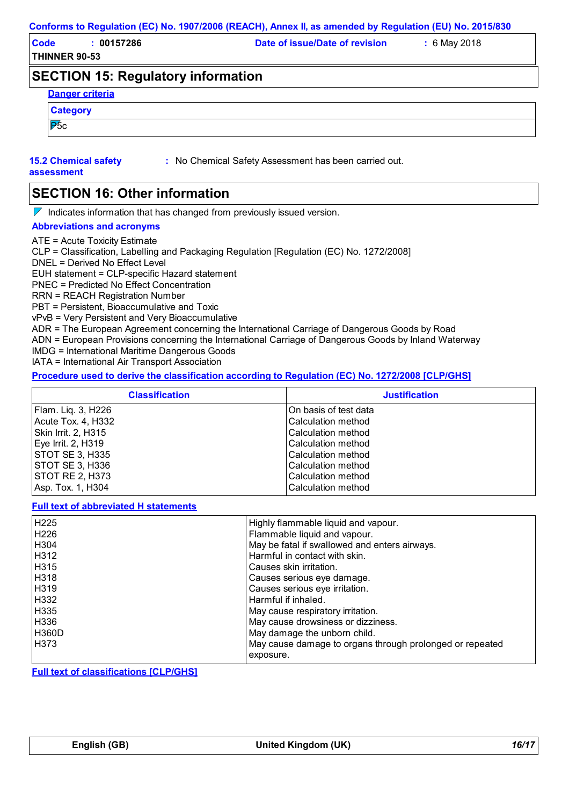| Code                 | 00157286 | Date of issue/Date of revision | $: 6$ May 2018 |
|----------------------|----------|--------------------------------|----------------|
| <b>THINNER 90-53</b> |          |                                |                |

## **SECTION 15: Regulatory information**

| <b>Danger criteria</b> |  |  |  |
|------------------------|--|--|--|
| <b>Category</b>        |  |  |  |
| $P_{\rm 5c}$           |  |  |  |

## **15.2 Chemical safety**

**:** No Chemical Safety Assessment has been carried out.

#### **assessment**

## **SECTION 16: Other information**

 $\nabla$  Indicates information that has changed from previously issued version.

#### **Abbreviations and acronyms**

ATE = Acute Toxicity Estimate

CLP = Classification, Labelling and Packaging Regulation [Regulation (EC) No. 1272/2008]

DNEL = Derived No Effect Level

EUH statement = CLP-specific Hazard statement

PNEC = Predicted No Effect Concentration

RRN = REACH Registration Number

PBT = Persistent, Bioaccumulative and Toxic

vPvB = Very Persistent and Very Bioaccumulative

ADR = The European Agreement concerning the International Carriage of Dangerous Goods by Road

ADN = European Provisions concerning the International Carriage of Dangerous Goods by Inland Waterway

IMDG = International Maritime Dangerous Goods

IATA = International Air Transport Association

#### **Procedure used to derive the classification according to Regulation (EC) No. 1272/2008 [CLP/GHS]**

| <b>Classification</b>  | <b>Justification</b>   |
|------------------------|------------------------|
| Flam. Liq. 3, H226     | IOn basis of test data |
| Acute Tox. 4, H332     | ICalculation method    |
| Skin Irrit. 2, H315    | ICalculation method    |
| Eye Irrit. 2, H319     | ICalculation method    |
| <b>STOT SE 3, H335</b> | ICalculation method    |
| <b>STOT SE 3, H336</b> | ICalculation method    |
| <b>STOT RE 2, H373</b> | ICalculation method    |
| Asp. Tox. 1, H304      | Calculation method     |

#### **Full text of abbreviated H statements**

| H225         | Highly flammable liquid and vapour.                      |
|--------------|----------------------------------------------------------|
| H226         | Flammable liquid and vapour.                             |
| H304         | May be fatal if swallowed and enters airways.            |
| H312         | Harmful in contact with skin.                            |
| H315         | Causes skin irritation.                                  |
| H318         | Causes serious eye damage.                               |
| H319         | Causes serious eye irritation.                           |
| H332         | Harmful if inhaled.                                      |
| H335         | May cause respiratory irritation.                        |
| H336         | May cause drowsiness or dizziness.                       |
| <b>H360D</b> | May damage the unborn child.                             |
| H373         | May cause damage to organs through prolonged or repeated |
|              | exposure.                                                |

**Full text of classifications [CLP/GHS]**